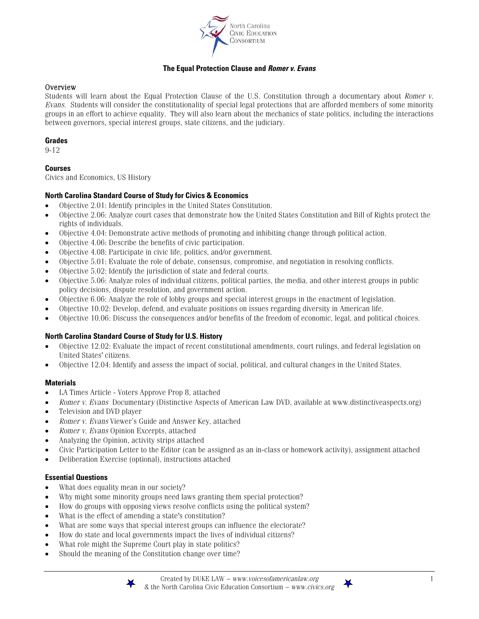

### **The Equal Protection Clause and** *Romer v. Evans*

#### Overview

Students will learn about the Equal Protection Clause of the U.S. Constitution through a documentary about *Romer v. Evans*. Students will consider the constitutionality of special legal protections that are afforded members of some minority groups in an effort to achieve equality. They will also learn about the mechanics of state politics, including the interactions between governors, special interest groups, state citizens, and the judiciary.

### **Grades**

9-12

### **Courses**

Civics and Economics, US History

### **North Carolina Standard Course of Study for Civics & Economics**

- Objective 2.01: Identify principles in the United States Constitution.
- Objective 2.06: Analyze court cases that demonstrate how the United States Constitution and Bill of Rights protect the rights of individuals.
- Objective 4.04: Demonstrate active methods of promoting and inhibiting change through political action.
- Objective 4.06: Describe the benefits of civic participation.
- Objective 4.08: Participate in civic life, politics, and/or government.
- Objective 5.01: Evaluate the role of debate, consensus, compromise, and negotiation in resolving conflicts.
- Objective 5.02: Identify the jurisdiction of state and federal courts.
- Objective 5.06: Analyze roles of individual citizens, political parties, the media, and other interest groups in public policy decisions, dispute resolution, and government action.
- Objective 6.06: Analyze the role of lobby groups and special interest groups in the enactment of legislation.
- Objective 10.02: Develop, defend, and evaluate positions on issues regarding diversity in American life.
- Objective 10.06: Discuss the consequences and/or benefits of the freedom of economic, legal, and political choices.

### **North Carolina Standard Course of Study for U.S. History**

- Objective 12.02: Evaluate the impact of recent constitutional amendments, court rulings, and federal legislation on United States' citizens.
- Objective 12.04: Identify and assess the impact of social, political, and cultural changes in the United States.

### **Materials**

- LA Times Article Voters Approve Prop 8, attached
- *Romer v. Evans* Documentar*y* (Distinctive Aspects of American Law DVD, available at www.distinctiveaspects.org)
- Television and DVD player
- *Romer v. Evans* Viewer's Guide and Answer Key, attached
- *Romer v. Evans* Opinion Excerpts, attached
- Analyzing the Opinion, activity strips attached
- Civic Participation Letter to the Editor (can be assigned as an in-class or homework activity), assignment attached
- Deliberation Exercise (optional), instructions attached

#### **Essential Questions**

- What does equality mean in our society?
- Why might some minority groups need laws granting them special protection?
- How do groups with opposing views resolve conflicts using the political system?
- What is the effect of amending a state's constitution?
- What are some ways that special interest groups can influence the electorate?
- How do state and local governments impact the lives of individual citizens?
- What role might the Supreme Court play in state politics?
- Should the meaning of the Constitution change over time?



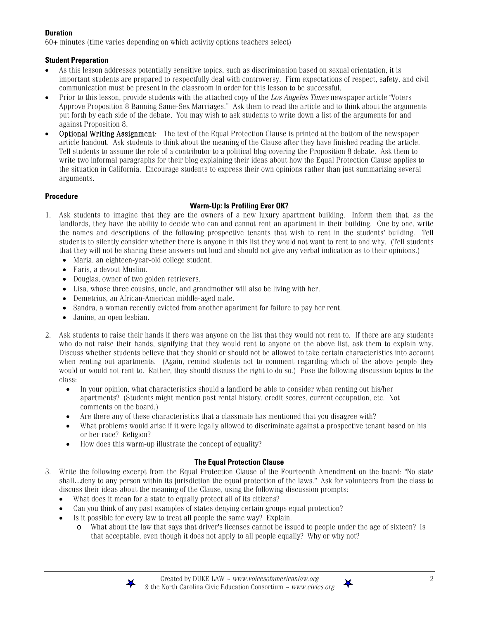## **Duration**

60+ minutes (time varies depending on which activity options teachers select)

## **Student Preparation**

- As this lesson addresses potentially sensitive topics, such as discrimination based on sexual orientation, it is important students are prepared to respectfully deal with controversy. Firm expectations of respect, safety, and civil communication must be present in the classroom in order for this lesson to be successful.
- Prior to this lesson, provide students with the attached copy of the *Los Angeles Times* newspaper article "Voters Approve Proposition 8 Banning Same-Sex Marriages." Ask them to read the article and to think about the arguments put forth by each side of the debate. You may wish to ask students to write down a list of the arguments for and against Proposition 8.
- Optional Writing Assignment: The text of the Equal Protection Clause is printed at the bottom of the newspaper article handout. Ask students to think about the meaning of the Clause after they have finished reading the article. Tell students to assume the role of a contributor to a political blog covering the Proposition 8 debate. Ask them to write two informal paragraphs for their blog explaining their ideas about how the Equal Protection Clause applies to the situation in California. Encourage students to express their own opinions rather than just summarizing several arguments.

# **Procedure**

# **Warm-Up: Is Profiling Ever OK?**

- 1. Ask students to imagine that they are the owners of a new luxury apartment building. Inform them that, as the landlords, they have the ability to decide who can and cannot rent an apartment in their building. One by one, write the names and descriptions of the following prospective tenants that wish to rent in the students' building. Tell students to silently consider whether there is anyone in this list they would not want to rent to and why. (Tell students that they will not be sharing these answers out loud and should not give any verbal indication as to their opinions.)
	- Maria, an eighteen-year-old college student.
	- Faris, a devout Muslim.
	- Douglas, owner of two golden retrievers.
	- Lisa, whose three cousins, uncle, and grandmother will also be living with her.
	- Demetrius, an African-American middle-aged male.
	- Sandra, a woman recently evicted from another apartment for failure to pay her rent.
	- Janine, an open lesbian.
- 2. Ask students to raise their hands if there was anyone on the list that they would not rent to. If there are any students who do not raise their hands, signifying that they would rent to anyone on the above list, ask them to explain why. Discuss whether students believe that they should or should not be allowed to take certain characteristics into account when renting out apartments. (Again, remind students not to comment regarding which of the above people they would or would not rent to. Rather, they should discuss the right to do so.) Pose the following discussion topics to the class:
	- In your opinion, what characteristics should a landlord be able to consider when renting out his/her apartments? (Students might mention past rental history, credit scores, current occupation, etc. Not comments on the board.)
	- Are there any of these characteristics that a classmate has mentioned that you disagree with?
	- What problems would arise if it were legally allowed to discriminate against a prospective tenant based on his or her race? Religion?
	- How does this warm-up illustrate the concept of equality?

# **The Equal Protection Clause**

- 3. Write the following excerpt from the Equal Protection Clause of the Fourteenth Amendment on the board: "No state shall…deny to any person within its jurisdiction the equal protection of the laws."Ask for volunteers from the class to discuss their ideas about the meaning of the Clause, using the following discussion prompts:
	- What does it mean for a state to equally protect all of its citizens?
	- Can you think of any past examples of states denying certain groups equal protection?
	- Is it possible for every law to treat all people the same way? Explain.
		- o What about the law that says that driver's licenses cannot be issued to people under the age of sixteen? Is that acceptable, even though it does not apply to all people equally? Why or why not?



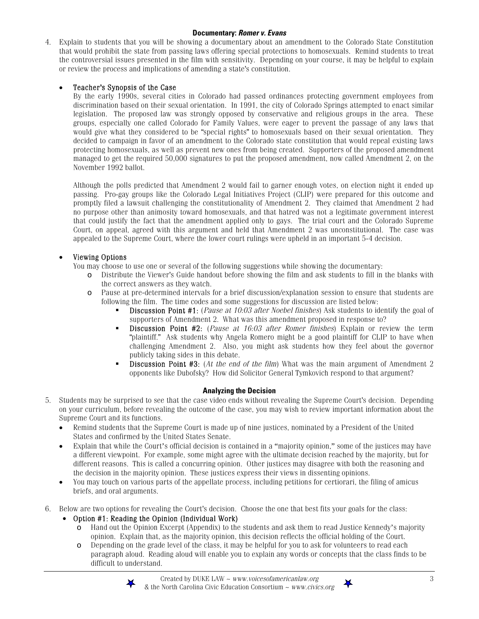### **Documentary:** *Romer v. Evans*

4. Explain to students that you will be showing a documentary about an amendment to the Colorado State Constitution that would prohibit the state from passing laws offering special protections to homosexuals. Remind students to treat the controversial issues presented in the film with sensitivity. Depending on your course, it may be helpful to explain or review the process and implications of amending a state's constitution.

### • Teacher**'**s Synopsis of the Case

By the early 1990s, several cities in Colorado had passed ordinances protecting government employees from discrimination based on their sexual orientation. In 1991, the city of Colorado Springs attempted to enact similar legislation. The proposed law was strongly opposed by conservative and religious groups in the area. These groups, especially one called Colorado for Family Values, were eager to prevent the passage of any laws that would give what they considered to be "special rights" to homosexuals based on their sexual orientation. They decided to campaign in favor of an amendment to the Colorado state constitution that would repeal existing laws protecting homosexuals, as well as prevent new ones from being created. Supporters of the proposed amendment managed to get the required 50,000 signatures to put the proposed amendment, now called Amendment 2, on the November 1992 ballot.

Although the polls predicted that Amendment 2 would fail to garner enough votes, on election night it ended up passing. Pro-gay groups like the Colorado Legal Initiatives Project (CLIP) were prepared for this outcome and promptly filed a lawsuit challenging the constitutionality of Amendment 2. They claimed that Amendment 2 had no purpose other than animosity toward homosexuals, and that hatred was not a legitimate government interest that could justify the fact that the amendment applied only to gays. The trial court and the Colorado Supreme Court, on appeal, agreed with this argument and held that Amendment 2 was unconstitutional. The case was appealed to the Supreme Court, where the lower court rulings were upheld in an important 5-4 decision.

### • Viewing Options

You may choose to use one or several of the following suggestions while showing the documentary:

- o Distribute the Viewer's Guide handout before showing the film and ask students to fill in the blanks with the correct answers as they watch.
- o Pause at pre-determined intervals for a brief discussion/explanation session to ensure that students are following the film. The time codes and some suggestions for discussion are listed below:
	- Discussion Point #1: (*Pause at 10:03 after Noebel finishes*) Ask students to identify the goal of supporters of Amendment 2. What was this amendment proposed in response to?
	- Discussion Point #2: (*Pause at 16:03 after Romer finishes*) Explain or review the term "plaintiff." Ask students why Angela Romero might be a good plaintiff for CLIP to have when challenging Amendment 2. Also, you might ask students how they feel about the governor publicly taking sides in this debate.
	- Discussion Point #3: (*At the end of the film*) What was the main argument of Amendment 2 opponents like Dubofsky? How did Solicitor General Tymkovich respond to that argument?

### **Analyzing the Decision**

- 5. Students may be surprised to see that the case video ends without revealing the Supreme Court's decision. Depending on your curriculum, before revealing the outcome of the case, you may wish to review important information about the Supreme Court and its functions.
	- Remind students that the Supreme Court is made up of nine justices, nominated by a President of the United States and confirmed by the United States Senate.
	- Explain that while the Court's official decision is contained in a "majority opinion," some of the justices may have a different viewpoint. For example, some might agree with the ultimate decision reached by the majority, but for different reasons. This is called a concurring opinion. Other justices may disagree with both the reasoning and the decision in the majority opinion. These justices express their views in dissenting opinions.
	- You may touch on various parts of the appellate process, including petitions for certiorari, the filing of amicus briefs, and oral arguments.
- 6. Below are two options for revealing the Court's decision. Choose the one that best fits your goals for the class:
	- Option #1: Reading the Opinion (Individual Work)
		- o Hand out the Opinion Excerpt (Appendix) to the students and ask them to read Justice Kennedy's majority opinion. Explain that, as the majority opinion, this decision reflects the official holding of the Court.
		- o Depending on the grade level of the class, it may be helpful for you to ask for volunteers to read each paragraph aloud. Reading aloud will enable you to explain any words or concepts that the class finds to be difficult to understand.

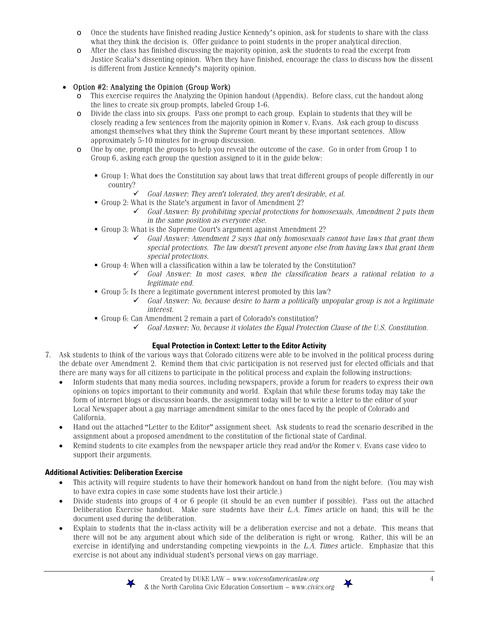- o Once the students have finished reading Justice Kennedy's opinion, ask for students to share with the class what they think the decision is. Offer guidance to point students in the proper analytical direction.
- o After the class has finished discussing the majority opinion, ask the students to read the excerpt from Justice Scalia's dissenting opinion. When they have finished, encourage the class to discuss how the dissent is different from Justice Kennedy's majority opinion.

## • Option #2: Analyzing the Opinion (Group Work)

- o This exercise requires the Analyzing the Opinion handout (Appendix). Before class, cut the handout along the lines to create six group prompts, labeled Group 1-6.
- o Divide the class into six groups. Pass one prompt to each group. Explain to students that they will be closely reading a few sentences from the majority opinion in Romer v. Evans. Ask each group to discuss amongst themselves what they think the Supreme Court meant by these important sentences. Allow approximately 5-10 minutes for in-group discussion.
- o One by one, prompt the groups to help you reveal the outcome of the case. Go in order from Group 1 to Group 6, asking each group the question assigned to it in the guide below:
	- Group 1: What does the Constitution say about laws that treat different groups of people differently in our country?
		- 9 *Goal Answer: They aren't tolerated, they aren't desirable, et al.*
	- Group 2: What is the State's argument in favor of Amendment 2?
		- 9 *Goal Answer: By prohibiting special protections for homosexuals, Amendment 2 puts them in the same position as everyone else.*
	- Group 3: What is the Supreme Court's argument against Amendment 2?
		- 9 *Goal Answer: Amendment 2 says that only homosexuals cannot have laws that grant them special protections. The law doesn't prevent anyone else from having laws that grant them special protections.*
	- Group 4: When will a classification within a law be tolerated by the Constitution?
		- 9 *Goal Answer: In most cases, when the classification bears a rational relation to a legitimate end.*
	- Group 5: Is there a legitimate government interest promoted by this law?
		- 9 *Goal Answer: No, because desire to harm a politically unpopular group is not a legitimate interest.*
	- Group 6: Can Amendment 2 remain a part of Colorado's constitution?
		- 9 *Goal Answer: No, because it violates the Equal Protection Clause of the U.S. Constitution.*

## **Equal Protection in Context: Letter to the Editor Activity**

- 7. Ask students to think of the various ways that Colorado citizens were able to be involved in the political process during the debate over Amendment 2. Remind them that civic participation is not reserved just for elected officials and that there are many ways for all citizens to participate in the political process and explain the following instructions:
	- Inform students that many media sources, including newspapers, provide a forum for readers to express their own opinions on topics important to their community and world. Explain that while these forums today may take the form of internet blogs or discussion boards, the assignment today will be to write a letter to the editor of your Local Newspaper about a gay marriage amendment similar to the ones faced by the people of Colorado and California.
	- Hand out the attached "Letter to the Editor" assignment sheet. Ask students to read the scenario described in the assignment about a proposed amendment to the constitution of the fictional state of Cardinal.
	- Remind students to cite examples from the newspaper article they read and/or the Romer v. Evans case video to support their arguments.

## **Additional Activities: Deliberation Exercise**

- This activity will require students to have their homework handout on hand from the night before. (You may wish to have extra copies in case some students have lost their article.)
- Divide students into groups of 4 or 6 people (it should be an even number if possible). Pass out the attached Deliberation Exercise handout. Make sure students have their *L.A. Times* article on hand; this will be the document used during the deliberation.
- Explain to students that the in-class activity will be a deliberation exercise and not a debate. This means that there will not be any argument about which side of the deliberation is right or wrong. Rather, this will be an exercise in identifying and understanding competing viewpoints in the *L.A. Times* article. Emphasize that this exercise is not about any individual student's personal views on gay marriage.



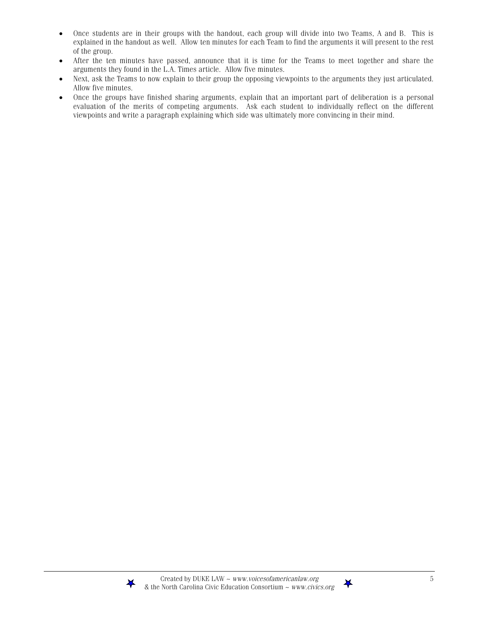- Once students are in their groups with the handout, each group will divide into two Teams, A and B. This is explained in the handout as well. Allow ten minutes for each Team to find the arguments it will present to the rest of the group.
- After the ten minutes have passed, announce that it is time for the Teams to meet together and share the arguments they found in the L.A. Times article. Allow five minutes.
- Next, ask the Teams to now explain to their group the opposing viewpoints to the arguments they just articulated. Allow five minutes.
- Once the groups have finished sharing arguments, explain that an important part of deliberation is a personal evaluation of the merits of competing arguments. Ask each student to individually reflect on the different viewpoints and write a paragraph explaining which side was ultimately more convincing in their mind.

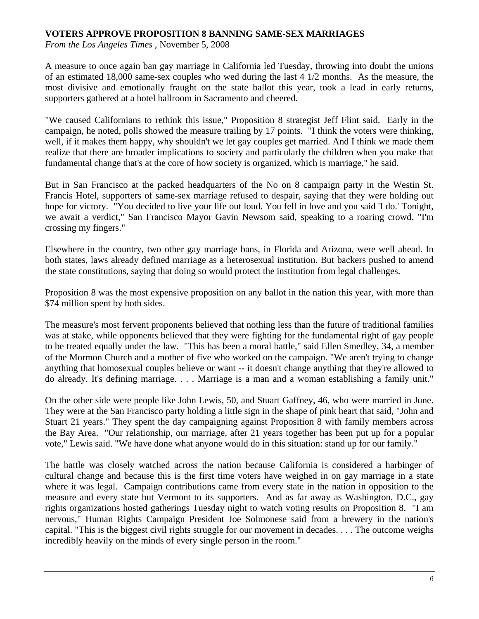## **VOTERS APPROVE PROPOSITION 8 BANNING SAME-SEX MARRIAGES**

*From the Los Angeles Times* , November 5, 2008

A measure to once again ban gay marriage in California led Tuesday, throwing into doubt the unions of an estimated 18,000 same-sex couples who wed during the last 4 1/2 months. As the measure, the most divisive and emotionally fraught on the state ballot this year, took a lead in early returns, supporters gathered at a hotel ballroom in Sacramento and cheered.

"We caused Californians to rethink this issue," Proposition 8 strategist Jeff Flint said. Early in the campaign, he noted, polls showed the measure trailing by 17 points. "I think the voters were thinking, well, if it makes them happy, why shouldn't we let gay couples get married. And I think we made them realize that there are broader implications to society and particularly the children when you make that fundamental change that's at the core of how society is organized, which is marriage," he said.

But in San Francisco at the packed headquarters of the No on 8 campaign party in the Westin St. Francis Hotel, supporters of same-sex marriage refused to despair, saying that they were holding out hope for victory. "You decided to live your life out loud. You fell in love and you said 'I do.' Tonight, we await a verdict," San Francisco Mayor Gavin Newsom said, speaking to a roaring crowd. "I'm crossing my fingers."

Elsewhere in the country, two other gay marriage bans, in Florida and Arizona, were well ahead. In both states, laws already defined marriage as a heterosexual institution. But backers pushed to amend the state constitutions, saying that doing so would protect the institution from legal challenges.

Proposition 8 was the most expensive proposition on any ballot in the nation this year, with more than \$74 million spent by both sides.

The measure's most fervent proponents believed that nothing less than the future of traditional families was at stake, while opponents believed that they were fighting for the fundamental right of gay people to be treated equally under the law. "This has been a moral battle," said Ellen Smedley, 34, a member of the Mormon Church and a mother of five who worked on the campaign. "We aren't trying to change anything that homosexual couples believe or want -- it doesn't change anything that they're allowed to do already. It's defining marriage. . . . Marriage is a man and a woman establishing a family unit."

On the other side were people like John Lewis, 50, and Stuart Gaffney, 46, who were married in June. They were at the San Francisco party holding a little sign in the shape of pink heart that said, "John and Stuart 21 years." They spent the day campaigning against Proposition 8 with family members across the Bay Area. "Our relationship, our marriage, after 21 years together has been put up for a popular vote," Lewis said. "We have done what anyone would do in this situation: stand up for our family."

The battle was closely watched across the nation because California is considered a harbinger of cultural change and because this is the first time voters have weighed in on gay marriage in a state where it was legal. Campaign contributions came from every state in the nation in opposition to the measure and every state but Vermont to its supporters. And as far away as Washington, D.C., gay rights organizations hosted gatherings Tuesday night to watch voting results on Proposition 8. "I am nervous," Human Rights Campaign President Joe Solmonese said from a brewery in the nation's capital. "This is the biggest civil rights struggle for our movement in decades. . . . The outcome weighs incredibly heavily on the minds of every single person in the room."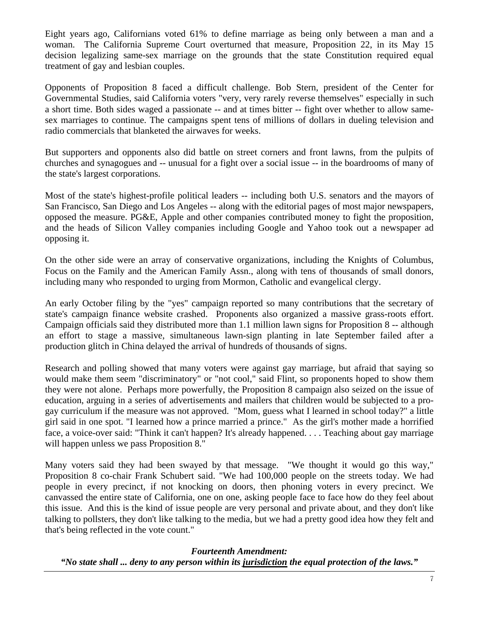Eight years ago, Californians voted 61% to define marriage as being only between a man and a woman. The California Supreme Court overturned that measure, Proposition 22, in its May 15 decision legalizing same-sex marriage on the grounds that the state Constitution required equal treatment of gay and lesbian couples.

Opponents of Proposition 8 faced a difficult challenge. Bob Stern, president of the Center for Governmental Studies, said California voters "very, very rarely reverse themselves" especially in such a short time. Both sides waged a passionate -- and at times bitter -- fight over whether to allow samesex marriages to continue. The campaigns spent tens of millions of dollars in dueling television and radio commercials that blanketed the airwaves for weeks.

But supporters and opponents also did battle on street corners and front lawns, from the pulpits of churches and synagogues and -- unusual for a fight over a social issue -- in the boardrooms of many of the state's largest corporations.

Most of the state's highest-profile political leaders -- including both U.S. senators and the mayors of San Francisco, San Diego and Los Angeles -- along with the editorial pages of most major newspapers, opposed the measure. PG&E, Apple and other companies contributed money to fight the proposition, and the heads of Silicon Valley companies including Google and Yahoo took out a newspaper ad opposing it.

On the other side were an array of conservative organizations, including the Knights of Columbus, Focus on the Family and the American Family Assn., along with tens of thousands of small donors, including many who responded to urging from Mormon, Catholic and evangelical clergy.

An early October filing by the "yes" campaign reported so many contributions that the secretary of state's campaign finance website crashed. Proponents also organized a massive grass-roots effort. Campaign officials said they distributed more than 1.1 million lawn signs for Proposition 8 -- although an effort to stage a massive, simultaneous lawn-sign planting in late September failed after a production glitch in China delayed the arrival of hundreds of thousands of signs.

Research and polling showed that many voters were against gay marriage, but afraid that saying so would make them seem "discriminatory" or "not cool," said Flint, so proponents hoped to show them they were not alone. Perhaps more powerfully, the Proposition 8 campaign also seized on the issue of education, arguing in a series of advertisements and mailers that children would be subjected to a progay curriculum if the measure was not approved. "Mom, guess what I learned in school today?" a little girl said in one spot. "I learned how a prince married a prince." As the girl's mother made a horrified face, a voice-over said: "Think it can't happen? It's already happened. . . . Teaching about gay marriage will happen unless we pass Proposition 8."

Many voters said they had been swayed by that message. "We thought it would go this way," Proposition 8 co-chair Frank Schubert said. "We had 100,000 people on the streets today. We had people in every precinct, if not knocking on doors, then phoning voters in every precinct. We canvassed the entire state of California, one on one, asking people face to face how do they feel about this issue. And this is the kind of issue people are very personal and private about, and they don't like talking to pollsters, they don't like talking to the media, but we had a pretty good idea how they felt and that's being reflected in the vote count."

*Fourteenth Amendment:* *"No state shall ... deny to any person within its jurisdiction the equal protection of the laws."*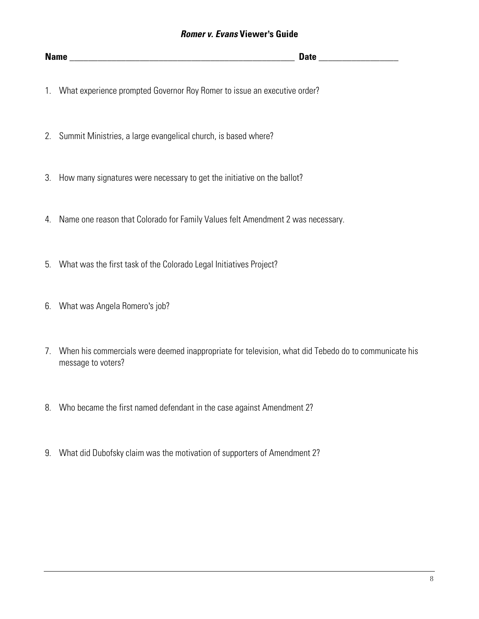- 1. What experience prompted Governor Roy Romer to issue an executive order?
- 2. Summit Ministries, a large evangelical church, is based where?
- 3. How many signatures were necessary to get the initiative on the ballot?
- 4. Name one reason that Colorado for Family Values felt Amendment 2 was necessary.
- 5. What was the first task of the Colorado Legal Initiatives Project?
- 6. What was Angela Romero's job?
- 7. When his commercials were deemed inappropriate for television, what did Tebedo do to communicate his message to voters?
- 8. Who became the first named defendant in the case against Amendment 2?
- 9. What did Dubofsky claim was the motivation of supporters of Amendment 2?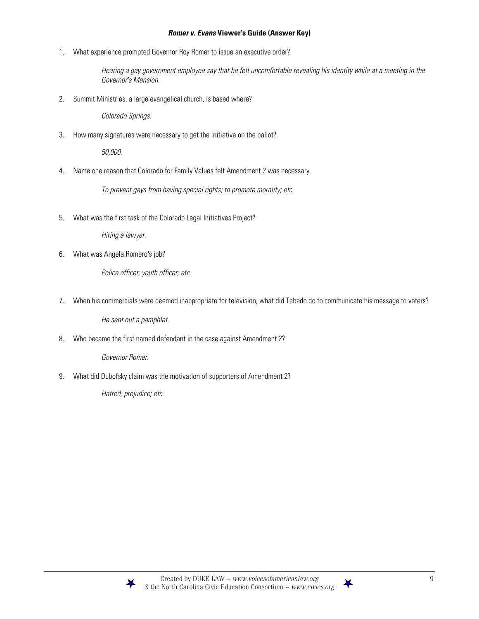### *Romer v. Evans* **Viewer's Guide (Answer Key)**

1. What experience prompted Governor Roy Romer to issue an executive order?

*Hearing a gay government employee say that he felt uncomfortable revealing his identity while at a meeting in the Governor's Mansion.* 

2. Summit Ministries, a large evangelical church, is based where?

*Colorado Springs.* 

3. How many signatures were necessary to get the initiative on the ballot?

*50,000.* 

4. Name one reason that Colorado for Family Values felt Amendment 2 was necessary.

*To prevent gays from having special rights; to promote morality; etc.* 

5. What was the first task of the Colorado Legal Initiatives Project?

*Hiring a lawyer.* 

6. What was Angela Romero's job?

*Police officer; youth officer; etc.* 

7. When his commercials were deemed inappropriate for television, what did Tebedo do to communicate his message to voters?

*He sent out a pamphlet.* 

8. Who became the first named defendant in the case against Amendment 2?

*Governor Romer.* 

9. What did Dubofsky claim was the motivation of supporters of Amendment 2?

*Hatred; prejudice; etc.* 



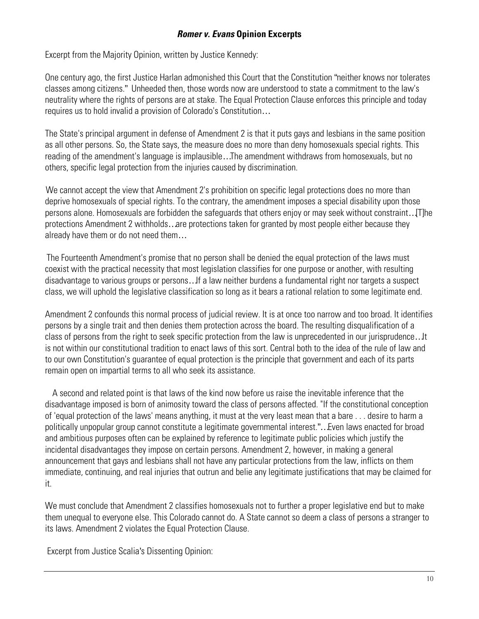# *Romer v. Evans* **Opinion Excerpts**

Excerpt from the Majority Opinion, written by Justice Kennedy:

One century ago, the first Justice Harlan admonished this Court that the Constitution "neither knows nor tolerates classes among citizens." Unheeded then, those words now are understood to state a commitment to the law's neutrality where the rights of persons are at stake. The Equal Protection Clause enforces this principle and today requires us to hold invalid a provision of Colorado's Constitution…

The State's principal argument in defense of Amendment 2 is that it puts gays and lesbians in the same position as all other persons. So, the State says, the measure does no more than deny homosexuals special rights. This reading of the amendment's language is implausible…The amendment withdraws from homosexuals, but no others, specific legal protection from the injuries caused by discrimination.

We cannot accept the view that Amendment 2's prohibition on specific legal protections does no more than deprive homosexuals of special rights. To the contrary, the amendment imposes a special disability upon those persons alone. Homosexuals are forbidden the safeguards that others enjoy or may seek without constraint…[T]he protections Amendment 2 withholds…are protections taken for granted by most people either because they already have them or do not need them…

 The Fourteenth Amendment's promise that no person shall be denied the equal protection of the laws must coexist with the practical necessity that most legislation classifies for one purpose or another, with resulting disadvantage to various groups or persons…If a law neither burdens a fundamental right nor targets a suspect class, we will uphold the legislative classification so long as it bears a rational relation to some legitimate end.

Amendment 2 confounds this normal process of judicial review. It is at once too narrow and too broad. It identifies persons by a single trait and then denies them protection across the board. The resulting disqualification of a class of persons from the right to seek specific protection from the law is unprecedented in our jurisprudence…It is not within our constitutional tradition to enact laws of this sort. Central both to the idea of the rule of law and to our own Constitution's guarantee of equal protection is the principle that government and each of its parts remain open on impartial terms to all who seek its assistance.

 A second and related point is that laws of the kind now before us raise the inevitable inference that the disadvantage imposed is born of animosity toward the class of persons affected. "If the constitutional conception of 'equal protection of the laws' means anything, it must at the very least mean that a bare . . . desire to harm a politically unpopular group cannot constitute a legitimate governmental interest."…Even laws enacted for broad and ambitious purposes often can be explained by reference to legitimate public policies which justify the incidental disadvantages they impose on certain persons. Amendment 2, however, in making a general announcement that gays and lesbians shall not have any particular protections from the law, inflicts on them immediate, continuing, and real injuries that outrun and belie any legitimate justifications that may be claimed for it.

We must conclude that Amendment 2 classifies homosexuals not to further a proper legislative end but to make them unequal to everyone else. This Colorado cannot do. A State cannot so deem a class of persons a stranger to its laws. Amendment 2 violates the Equal Protection Clause.

Excerpt from Justice Scalia's Dissenting Opinion: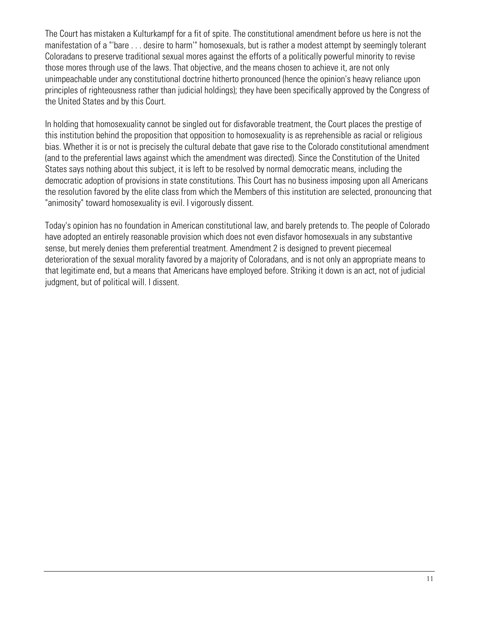The Court has mistaken a Kulturkampf for a fit of spite. The constitutional amendment before us here is not the manifestation of a "'bare . . . desire to harm'" homosexuals, but is rather a modest attempt by seemingly tolerant Coloradans to preserve traditional sexual mores against the efforts of a politically powerful minority to revise those mores through use of the laws. That objective, and the means chosen to achieve it, are not only unimpeachable under any constitutional doctrine hitherto pronounced (hence the opinion's heavy reliance upon principles of righteousness rather than judicial holdings); they have been specifically approved by the Congress of the United States and by this Court.

In holding that homosexuality cannot be singled out for disfavorable treatment, the Court places the prestige of this institution behind the proposition that opposition to homosexuality is as reprehensible as racial or religious bias. Whether it is or not is precisely the cultural debate that gave rise to the Colorado constitutional amendment (and to the preferential laws against which the amendment was directed). Since the Constitution of the United States says nothing about this subject, it is left to be resolved by normal democratic means, including the democratic adoption of provisions in state constitutions. This Court has no business imposing upon all Americans the resolution favored by the elite class from which the Members of this institution are selected, pronouncing that "animosity" toward homosexuality is evil. I vigorously dissent.

Today's opinion has no foundation in American constitutional law, and barely pretends to. The people of Colorado have adopted an entirely reasonable provision which does not even disfavor homosexuals in any substantive sense, but merely denies them preferential treatment. Amendment 2 is designed to prevent piecemeal deterioration of the sexual morality favored by a majority of Coloradans, and is not only an appropriate means to that legitimate end, but a means that Americans have employed before. Striking it down is an act, not of judicial judgment, but of political will. I dissent.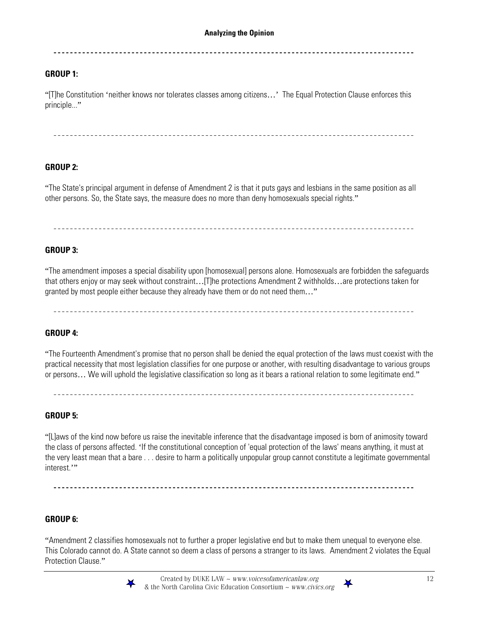## **GROUP 1:**

"[T]he Constitution 'neither knows nor tolerates classes among citizens…' The Equal Protection Clause enforces this principle..."

# **GROUP 2:**

"The State's principal argument in defense of Amendment 2 is that it puts gays and lesbians in the same position as all other persons. So, the State says, the measure does no more than deny homosexuals special rights."

## **GROUP 3:**

"The amendment imposes a special disability upon [homosexual] persons alone. Homosexuals are forbidden the safeguards that others enjoy or may seek without constraint…[T]he protections Amendment 2 withholds…are protections taken for granted by most people either because they already have them or do not need them…"

# **GROUP 4:**

"The Fourteenth Amendment's promise that no person shall be denied the equal protection of the laws must coexist with the practical necessity that most legislation classifies for one purpose or another, with resulting disadvantage to various groups or persons… We will uphold the legislative classification so long as it bears a rational relation to some legitimate end."

# **GROUP 5:**

"[L]aws of the kind now before us raise the inevitable inference that the disadvantage imposed is born of animosity toward the class of persons affected. 'If the constitutional conception of 'equal protection of the laws' means anything, it must at the very least mean that a bare . . . desire to harm a politically unpopular group cannot constitute a legitimate governmental interest.'"

# **GROUP 6:**

"Amendment 2 classifies homosexuals not to further a proper legislative end but to make them unequal to everyone else. This Colorado cannot do. A State cannot so deem a class of persons a stranger to its laws. Amendment 2 violates the Equal Protection Clause."

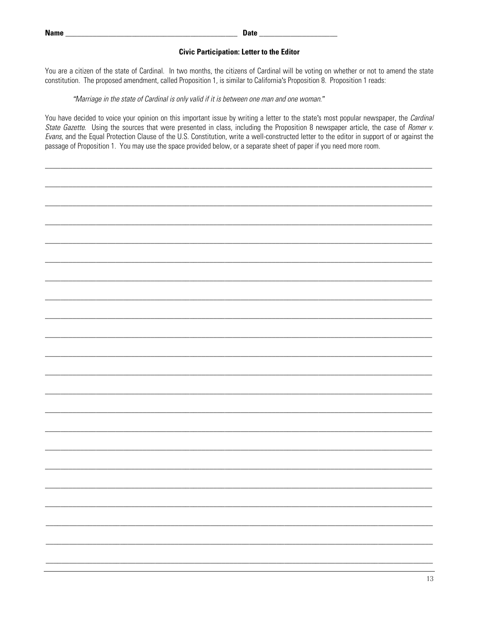#### **Civic Participation: Letter to the Editor**

You are a citizen of the state of Cardinal. In two months, the citizens of Cardinal will be voting on whether or not to amend the state constitution. The proposed amendment, called Proposition 1, is similar to California's Proposition 8. Proposition 1 reads:

"Marriage in the state of Cardinal is only valid if it is between one man and one woman."

You have decided to voice your opinion on this important issue by writing a letter to the state's most popular newspaper, the Cardinal State Gazette. Using the sources that were presented in class, including the Proposition 8 newspaper article, the case of Romer v. Evans, and the Equal Protection Clause of the U.S. Constitution, write a well-constructed letter to the editor in support of or against the passage of Proposition 1. You may use the space provided below, or a separate sheet of paper if you need more room.